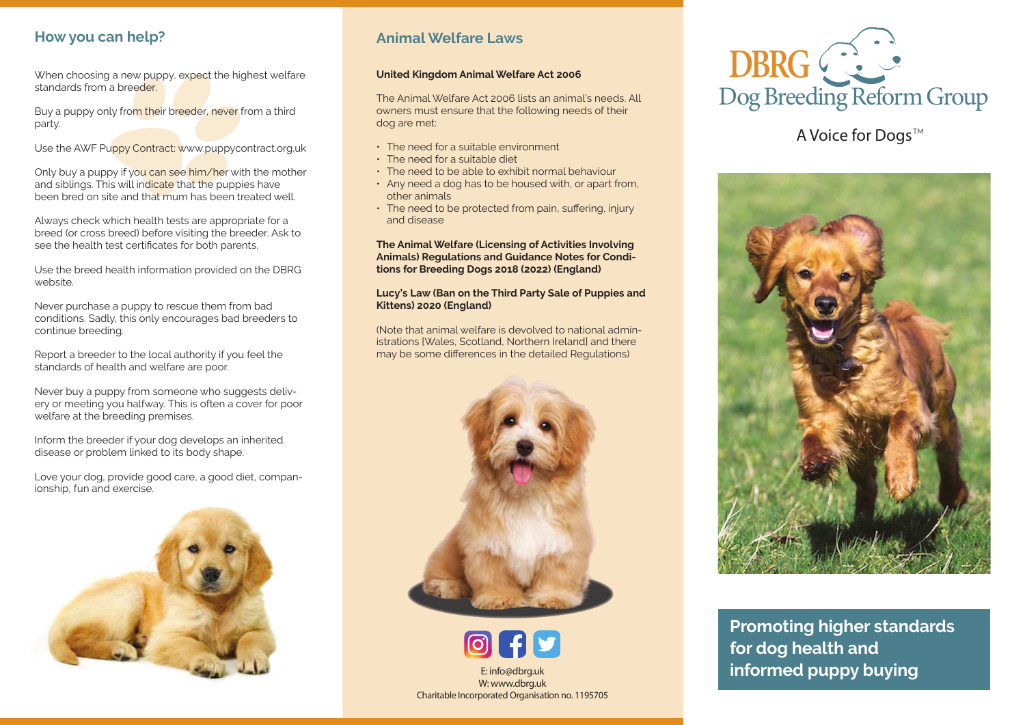## **How you can help?**

When choosing a new puppy, expect the highest welfare standards from a breeder.

Buy a puppy only from their breeder, never from a third party.

Use the AWF Puppy Contract: www.puppycontract.org.uk

Only buy a puppy if you can see him/her with the mother and siblings. This will indicate that the puppies have been bred on site and that mum has been treated well.

Always check which health tests are appropriate for a breed (or cross breed) before visiting the breeder. Ask to see the health test certificates for both parents.

Use the breed health information provided on the DBRG website.

Never purchase a puppy to rescue them from bad conditions. Sadly, this only encourages bad breeders to continue breeding.

Report a breeder to the local authority if you feel the standards of health and welfare are poor.

Never buy a puppy from someone who suggests delivery or meeting you halfway. This is often a cover for poor welfare at the breeding premises.

Inform the breeder if your dog develops an inherited disease or problem linked to its body shape.

Love your dog, provide good care, a good diet, companionship, fun and exercise.



## **Animal Welfare Laws**

#### **United Kingdom Animal Welfare Act 2006**

The Animal Welfare Act 2006 lists an animal's needs. All owners must ensure that the following needs of their dog are met:

- The need for a suitable environment
- The need for a suitable diet
- The need to be able to exhibit normal behaviour
- Any need a dog has to be housed with, or apart from, other animals
- The need to be protected from pain, suffering, injury and disease

**The Animal Welfare (Licensing of Activities Involving Animals) Regulations and Guidance Notes for Conditions for Breeding Dogs 2018 (2022) (England)**

### **Lucy's Law (Ban on the Third Party Sale of Puppies and Kittens) 2020 (England)**

(Note that animal welfare is devolved to national administrations [Wales, Scotland, Northern Ireland] and there may be some differences in the detailed Regulations)



E: info@dbrg.uk W: www.dbrg.uk Charitable Incorporated Organisation no. 1195705



# A Voice for Dogs™



**Promoting higher standards for dog health and informed puppy buying**